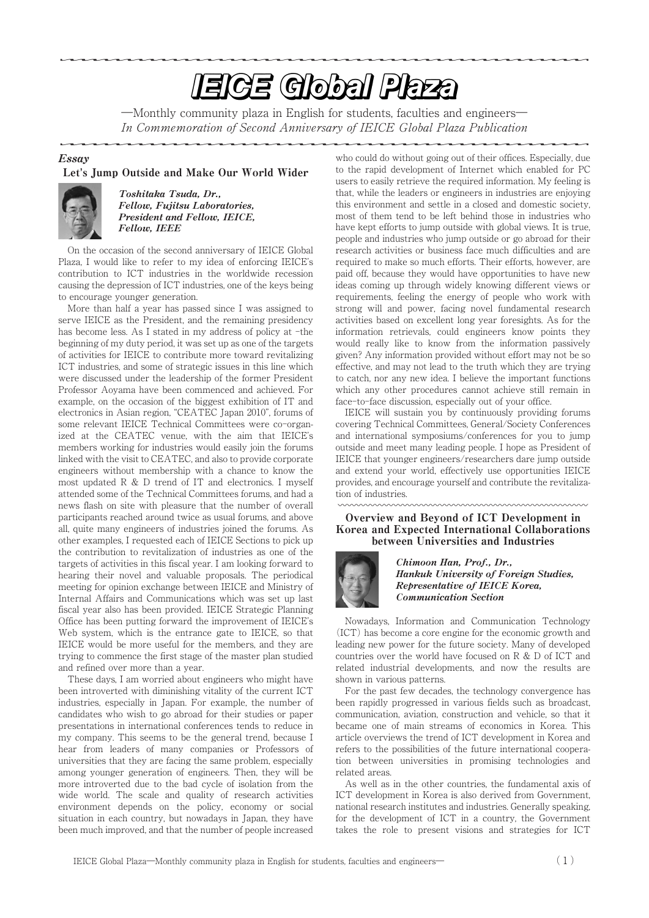# **EIGE Global Plaza**

―Monthly community plaza in English for students, faculties and engineers― In Commemoration of Second Anniversary of IEICE Global Plaza Publication

## Essay

## Let**'**s Jump Outside and Make Our World Wider



Toshitaka Tsuda, Dr., Fellow, Fujitsu Laboratories, President and Fellow, IEICE, Fellow, IEEE

On the occasion of the second anniversary of IEICE Global Plaza, I would like to refer to my idea of enforcing IEICE's contribution to ICT industries in the worldwide recession causing the depression of ICT industries, one of the keys being to encourage younger generation.

More than half a year has passed since I was assigned to serve IEICE as the President, and the remaining presidency has become less. As I stated in my address of policy at -the beginning of my duty period, it was set up as one of the targets of activities for IEICE to contribute more toward revitalizing ICT industries, and some of strategic issues in this line which were discussed under the leadership of the former President Professor Aoyama have been commenced and achieved. For example, on the occasion of the biggest exhibition of IT and electronics in Asian region, "CEATEC Japan 2010", forums of some relevant IEICE Technical Committees were co-organized at the CEATEC venue, with the aim that IEICE's members working for industries would easily join the forums linked with the visit to CEATEC, and also to provide corporate engineers without membership with a chance to know the most updated  $R \& D$  trend of IT and electronics. I myself attended some of the Technical Committees forums, and had a news flash on site with pleasure that the number of overall participants reached around twice as usual forums, and above all, quite many engineers of industries joined the forums. As other examples, I requested each of IEICE Sections to pick up the contribution to revitalization of industries as one of the targets of activities in this fiscal year. I am looking forward to hearing their novel and valuable proposals. The periodical meeting for opinion exchange between IEICE and Ministry of Internal Affairs and Communications which was set up last fiscal year also has been provided. IEICE Strategic Planning Office has been putting forward the improvement of IEICE's Web system, which is the entrance gate to IEICE, so that IEICE would be more useful for the members, and they are trying to commence the first stage of the master plan studied and refined over more than a year.

These days, I am worried about engineers who might have been introverted with diminishing vitality of the current ICT industries, especially in Japan. For example, the number of candidates who wish to go abroad for their studies or paper presentations in international conferences tends to reduce in my company. This seems to be the general trend, because I hear from leaders of many companies or Professors of universities that they are facing the same problem, especially among younger generation of engineers. Then, they will be more introverted due to the bad cycle of isolation from the wide world. The scale and quality of research activities environment depends on the policy, economy or social situation in each country, but nowadays in Japan, they have been much improved, and that the number of people increased who could do without going out of their offices. Especially, due to the rapid development of Internet which enabled for PC users to easily retrieve the required information. My feeling is that, while the leaders or engineers in industries are enjoying this environment and settle in a closed and domestic society, most of them tend to be left behind those in industries who have kept efforts to jump outside with global views. It is true, people and industries who jump outside or go abroad for their research activities or business face much difficulties and are required to make so much efforts. Their efforts, however, are paid off, because they would have opportunities to have new ideas coming up through widely knowing different views or requirements, feeling the energy of people who work with strong will and power, facing novel fundamental research activities based on excellent long year foresights. As for the information retrievals, could engineers know points they would really like to know from the information passively given? Any information provided without effort may not be so effective, and may not lead to the truth which they are trying to catch, nor any new idea. I believe the important functions which any other procedures cannot achieve still remain in face-to-face discussion, especially out of your office.

IEICE will sustain you by continuously providing forums covering Technical Committees, General/Society Conferences and international symposiums/conferences for you to jump outside and meet many leading people. I hope as President of IEICE that younger engineers/researchers dare jump outside and extend your world, effectively use opportunities IEICE provides, and encourage yourself and contribute the revitalization of industries.

## Overview and Beyond of ICT Development in Korea and Expected International Collaborations between Universities and Industries



Chimoon Han, Prof., Dr., Hankuk University of Foreign Studies, Representative of IEICE Korea, Communication Section

Nowadays, Information and Communication Technology (ICT) has become a core engine for the economic growth and leading new power for the future society. Many of developed countries over the world have focused on R & D of ICT and related industrial developments, and now the results are shown in various patterns.

For the past few decades, the technology convergence has been rapidly progressed in various fields such as broadcast, communication, aviation, construction and vehicle, so that it became one of main streams of economics in Korea. This article overviews the trend of ICT development in Korea and refers to the possibilities of the future international cooperation between universities in promising technologies and related areas.

As well as in the other countries, the fundamental axis of ICT development in Korea is also derived from Government, national research institutes and industries. Generally speaking, for the development of ICT in a country, the Government takes the role to present visions and strategies for ICT